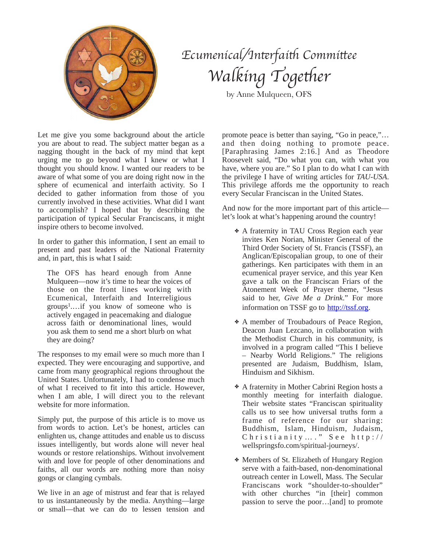

## *Ecumenical/In*t*rfai*t *Commi*t*ee Walking* Together

by Anne Mulqueen, OFS

Let me give you some background about the article you are about to read. The subject matter began as a nagging thought in the back of my mind that kept urging me to go beyond what I knew or what I thought you should know. I wanted our readers to be aware of what some of you are doing right now in the sphere of ecumenical and interfaith activity. So I decided to gather information from those of you currently involved in these activities. What did I want to accomplish? I hoped that by describing the participation of typical Secular Franciscans, it might inspire others to become involved.

In order to gather this information, I sent an email to present and past leaders of the National Fraternity and, in part, this is what I said:

The OFS has heard enough from Anne Mulqueen—now it's time to hear the voices of those on the front lines working with Ecumenical, Interfaith and Interreligious  $groups<sup>1</sup>...$ if you know of someone who is actively engaged in peacemaking and dialogue across faith or denominational lines, would you ask them to send me a short blurb on what they are doing?

The responses to my email were so much more than I expected. They were encouraging and supportive, and came from many geographical regions throughout the United States. Unfortunately, I had to condense much of what I received to fit into this article. However, when I am able, I will direct you to the relevant website for more information.

Simply put, the purpose of this article is to move us from words to action. Let's be honest, articles can enlighten us, change attitudes and enable us to discuss issues intelligently, but words alone will never heal wounds or restore relationships. Without involvement with and love for people of other denominations and faiths, all our words are nothing more than noisy gongs or clanging cymbals.

We live in an age of mistrust and fear that is relayed to us instantaneously by the media. Anything—large or small—that we can do to lessen tension and

promote peace is better than saying, "Go in peace,"… and then doing nothing to promote peace. [Paraphrasing James 2:16.] And as Theodore Roosevelt said, "Do what you can, with what you have, where you are." So I plan to do what I can with the privilege I have of writing articles for *TAU-USA*. This privilege affords me the opportunity to reach every Secular Franciscan in the United States.

And now for the more important part of this article let's look at what's happening around the country!

- ✤ A fraternity in TAU Cross Region each year invites Ken Norian, Minister General of the Third Order Society of St. Francis (TSSF), an Anglican/Episcopalian group, to one of their gatherings. Ken participates with them in an ecumenical prayer service, and this year Ken gave a talk on the Franciscan Friars of the Atonement Week of Prayer theme, "Jesus said to her, *Give Me a Drink*." For more information on TSSF go to <http://tssf.org>.
- ✤ A member of Troubadours of Peace Region, Deacon Juan Lezcano, in collaboration with the Methodist Church in his community, is involved in a program called "This I believe – Nearby World Religions." The religions presented are Judaism, Buddhism, Islam, Hinduism and Sikhism.
- ✤ A fraternity in Mother Cabrini Region hosts a monthly meeting for interfaith dialogue. Their website states "Franciscan spirituality calls us to see how universal truths form a frame of reference for our sharing: Buddhism, Islam, Hinduism, Judaism,  $Christianity...$  "See http:// wellspringsfo.com/spiritual-journeys/.
- ✤ Members of St. Elizabeth of Hungary Region serve with a faith-based, non-denominational outreach center in Lowell, Mass. The Secular Franciscans work "shoulder-to-shoulder" with other churches "in [their] common passion to serve the poor…[and] to promote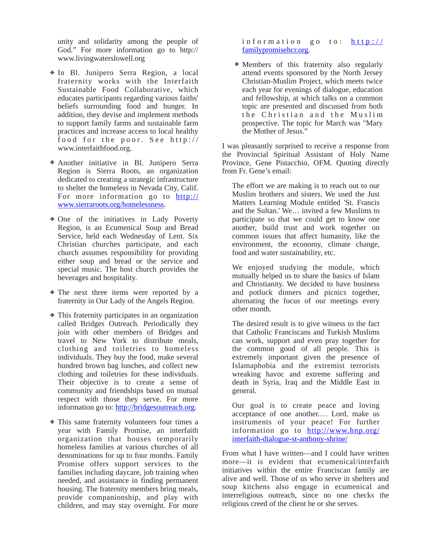unity and solidarity among the people of [God." For more information go to http://](http://www.livingwaterslowell.org) www.livingwaterslowell.org

- ✤ In Bl. Junipero Serra Region, a local fraternity works with the Interfaith Sustainable Food Collaborative, which educates participants regarding various faiths' beliefs surrounding food and hunger. In addition, they devise and implement methods to support family farms and sustainable farm practices and increase access to local healthy food for the poor. See http:// www.interfaithfood.org.
- ✤ Another initiative in Bl. Junipero Serra Region is Sierra Roots, an organization dedicated to creating a strategic infrastructure to shelter the homeless in Nevada City, Calif. [For more information go to http://](http://www.sierraroots.org/homelessness) www.sierraroots.org/homelessness.
- ✤ One of the initiatives in Lady Poverty Region, is an Ecumenical Soup and Bread Service, held each Wednesday of Lent. Six Christian churches participate, and each church assumes responsibility for providing either soup and bread or the service and special music. The host church provides the beverages and hospitality.
- ✤ The next three items were reported by a fraternity in Our Lady of the Angels Region.
- ✤ This fraternity participates in an organization called Bridges Outreach. Periodically they join with other members of Bridges and travel to New York to distribute meals, clothing and toiletries to homeless individuals. They buy the food, make several hundred brown bag lunches, and collect new clothing and toiletries for these individuals. Their objective is to create a sense of community and friendships based on mutual respect with those they serve. For more information go to: <http://bridgesoutreach.org>.
- ✤ This same fraternity volunteers four times a year with Family Promise, an interfaith organization that houses temporarily homeless families at various churches of all denominations for up to four months. Family Promise offers support services to the families including daycare, job training when needed, and assistance in finding permanent housing. The fraternity members bring meals, provide companionship, and play with children, and may stay overnight. For more

information go to: http:// familypromisehcr.org.

✤ Members of this fraternity also regularly attend events sponsored by the North Jersey Christian-Muslim Project, which meets twice each year for evenings of dialogue, education and fellowship, at which talks on a common topic are presented and discussed from both the Christian and the Muslim prospective. The topic for March was "Mary the Mother of Jesus."

I was pleasantly surprised to receive a response from the Provincial Spiritual Assistant of Holy Name Province, Gene Pistacchio, OFM. Quoting directly from Fr. Gene's email:

The effort we are making is to reach out to our Muslim brothers and sisters. We used the Just Matters Learning Module entitled 'St. Francis and the Sultan.' We… invited a few Muslims to participate so that we could get to know one another, build trust and work together on common issues that affect humanity, like the environment, the economy, climate change, food and water sustainability, etc.

We enjoyed studying the module, which mutually helped us to share the basics of Islam and Christianity. We decided to have business and potluck dinners and picnics together, alternating the focus of our meetings every other month.

The desired result is to give witness to the fact that Catholic Franciscans and Turkish Muslims can work, support and even pray together for the common good of all people. This is extremely important given the presence of Islamaphobia and the extremist terrorists wreaking havoc and extreme suffering and death in Syria, Iraq and the Middle East in general.

Our goal is to create peace and loving acceptance of one another.… Lord, make us instruments of your peace! For further [information go to http://www.hnp.org/](http://www.hnp.org/interfaith-dialogue-st-anthony-shrine/) interfaith-dialogue-st-anthony-shrine/

From what I have written—and I could have written more—it is evident that ecumenical/interfaith initiatives within the entire Franciscan family are alive and well. Those of us who serve in shelters and soup kitchens also engage in ecumenical and interreligious outreach, since no one checks the religious creed of the client he or she serves.